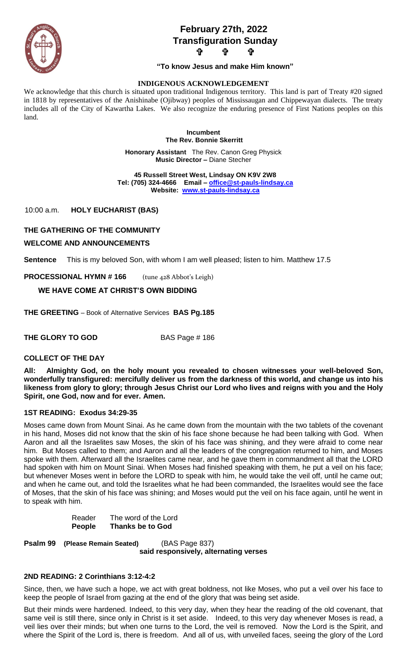

# **February 27th, 2022 Transfiguration Sunday ታ ቀ**

# **"To know Jesus and make Him known"**

## **INDIGENOUS ACKNOWLEDGEMENT**

We acknowledge that this church is situated upon traditional Indigenous territory. This land is part of Treaty #20 signed in 1818 by representatives of the Anishinabe (Ojibway) peoples of Mississaugan and Chippewayan dialects. The treaty includes all of the City of Kawartha Lakes. We also recognize the enduring presence of First Nations peoples on this land.

> **Incumbent The Rev. Bonnie Skerritt**

**Honorary Assistant** The Rev. Canon Greg Physick **Music Director –** Diane Stecher

 **45 Russell Street West, Lindsay ON K9V 2W8 Tel: (705) 324-4666 Email – [office@st-pauls-lindsay.ca](mailto:office@st-pauls-lindsay.ca) Website: [www.st-pauls-lindsay.ca](http://www.st-pauls-lindsay.ca/)**

10:00 a.m. **HOLY EUCHARIST (BAS)** 

# **THE GATHERING OF THE COMMUNITY**

### **WELCOME AND ANNOUNCEMENTS**

**Sentence** This is my beloved Son, with whom I am well pleased; listen to him. Matthew 17.5

**PROCESSIONAL HYMN # 166** (tune 428 Abbot's Leigh)

# **WE HAVE COME AT CHRIST'S OWN BIDDING**

**THE GREETING** – Book of Alternative Services **BAS Pg.185**

**THE GLORY TO GOD** BAS Page # 186

### **COLLECT OF THE DAY**

**All: Almighty God, on the holy mount you revealed to chosen witnesses your well-beloved Son, wonderfully transfigured: mercifully deliver us from the darkness of this world, and change us into his likeness from glory to glory; through Jesus Christ our Lord who lives and reigns with you and the Holy Spirit, one God, now and for ever. Amen.**

### **1ST READING: Exodus 34:29-35**

Moses came down from Mount Sinai. As he came down from the mountain with the two tablets of the covenant in his hand, Moses did not know that the skin of his face shone because he had been talking with God. When Aaron and all the Israelites saw Moses, the skin of his face was shining, and they were afraid to come near him. But Moses called to them; and Aaron and all the leaders of the congregation returned to him, and Moses spoke with them. Afterward all the Israelites came near, and he gave them in commandment all that the LORD had spoken with him on Mount Sinai. When Moses had finished speaking with them, he put a veil on his face; but whenever Moses went in before the LORD to speak with him, he would take the veil off, until he came out; and when he came out, and told the Israelites what he had been commanded, the Israelites would see the face of Moses, that the skin of his face was shining; and Moses would put the veil on his face again, until he went in to speak with him.

> Reader The word of the Lord **People Thanks be to God**

**Psalm 99 (Please Remain Seated)** (BAS Page 837) **said responsively, alternating verses**

### **2ND READING: 2 Corinthians 3:12-4:2**

Since, then, we have such a hope, we act with great boldness, not like Moses, who put a veil over his face to keep the people of Israel from gazing at the end of the glory that was being set aside.

But their minds were hardened. Indeed, to this very day, when they hear the reading of the old covenant, that same veil is still there, since only in Christ is it set aside. Indeed, to this very day whenever Moses is read, a veil lies over their minds; but when one turns to the Lord, the veil is removed. Now the Lord is the Spirit, and where the Spirit of the Lord is, there is freedom. And all of us, with unveiled faces, seeing the glory of the Lord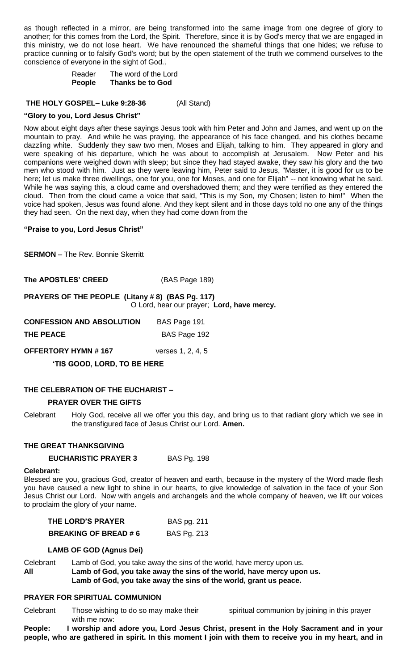as though reflected in a mirror, are being transformed into the same image from one degree of glory to another; for this comes from the Lord, the Spirit. Therefore, since it is by God's mercy that we are engaged in this ministry, we do not lose heart. We have renounced the shameful things that one hides; we refuse to practice cunning or to falsify God's word; but by the open statement of the truth we commend ourselves to the conscience of everyone in the sight of God..

# Reader The word of the Lord **People Thanks be to God**

#### **THE HOLY GOSPEL– Luke 9:28-36** (All Stand)

#### **"Glory to you, Lord Jesus Christ"**

Now about eight days after these sayings Jesus took with him Peter and John and James, and went up on the mountain to pray. And while he was praying, the appearance of his face changed, and his clothes became dazzling white. Suddenly they saw two men, Moses and Elijah, talking to him. They appeared in glory and were speaking of his departure, which he was about to accomplish at Jerusalem. Now Peter and his companions were weighed down with sleep; but since they had stayed awake, they saw his glory and the two men who stood with him. Just as they were leaving him, Peter said to Jesus, "Master, it is good for us to be here; let us make three dwellings, one for you, one for Moses, and one for Elijah" -- not knowing what he said. While he was saying this, a cloud came and overshadowed them; and they were terrified as they entered the cloud. Then from the cloud came a voice that said, "This is my Son, my Chosen; listen to him!" When the voice had spoken, Jesus was found alone. And they kept silent and in those days told no one any of the things they had seen. On the next day, when they had come down from the

#### **"Praise to you, Lord Jesus Christ"**

**SERMON** – The Rev. Bonnie Skerritt

**The APOSTLES' CREED** (BAS Page 189)

**PRAYERS OF THE PEOPLE (Litany # 8) (BAS Pg. 117)** O Lord, hear our prayer; **Lord, have mercy.**

| <b>CONFESSION AND ABSOLUTION</b> | BAS Page 191 |
|----------------------------------|--------------|
| <b>THE PEACE</b>                 | BAS Page 192 |

**OFFERTORY HYMN # 167** verses 1, 2, 4, 5

**'TIS GOOD, LORD, TO BE HERE** 

# **THE CELEBRATION OF THE EUCHARIST –**

#### **PRAYER OVER THE GIFTS**

Celebrant Holy God, receive all we offer you this day, and bring us to that radiant glory which we see in the transfigured face of Jesus Christ our Lord. **Amen.**

### **THE GREAT THANKSGIVING**

**EUCHARISTIC PRAYER 3** BAS Pg. 198

#### **Celebrant:**

Blessed are you, gracious God, creator of heaven and earth, because in the mystery of the Word made flesh you have caused a new light to shine in our hearts, to give knowledge of salvation in the face of your Son Jesus Christ our Lord. Now with angels and archangels and the whole company of heaven, we lift our voices to proclaim the glory of your name.

| THE LORD'S PRAYER           | BAS pg. 211        |
|-----------------------------|--------------------|
| <b>BREAKING OF BREAD #6</b> | <b>BAS Pg. 213</b> |

### **LAMB OF GOD (Agnus Dei)**

Celebrant Lamb of God, you take away the sins of the world, have mercy upon us. **All Lamb of God, you take away the sins of the world, have mercy upon us. Lamb of God, you take away the sins of the world, grant us peace.** 

## **PRAYER FOR SPIRITUAL COMMUNION**

Celebrant Those wishing to do so may make their spiritual communion by joining in this prayer with me now:

**People: I worship and adore you, Lord Jesus Christ, present in the Holy Sacrament and in your people, who are gathered in spirit. In this moment I join with them to receive you in my heart, and in**